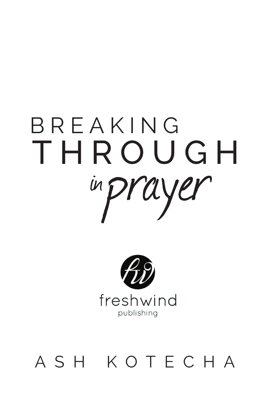



# ASH KOTECHA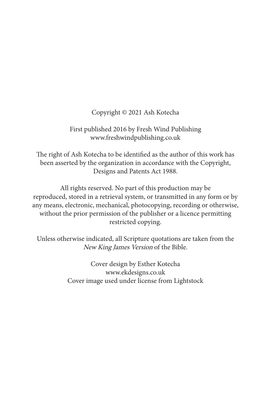Copyright © 2021 Ash Kotecha

First published 2016 by Fresh Wind Publishing www.freshwindpublishing.co.uk

The right of Ash Kotecha to be identified as the author of this work has been asserted by the organization in accordance with the Copyright, Designs and Patents Act 1988.

All rights reserved. No part of this production may be reproduced, stored in a retrieval system, or transmitted in any form or by any means, electronic, mechanical, photocopying, recording or otherwise, without the prior permission of the publisher or a licence permitting restricted copying.

Unless otherwise indicated, all Scripture quotations are taken from the New King James Version of the Bible.

> Cover design by Esther Kotecha www.ekdesigns.co.uk Cover image used under license from Lightstock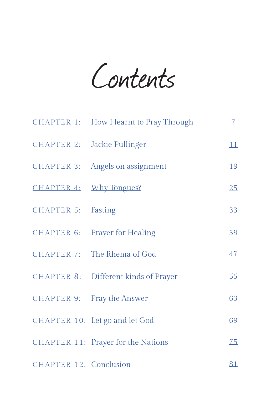Contents

|                         | CHAPTER 1: How I learnt to Pray Through | $\mathcal{I}$ |
|-------------------------|-----------------------------------------|---------------|
|                         | CHAPTER 2: Jackie Pullinger             | 11            |
|                         | CHAPTER 3: Angels on assignment         | 19            |
| CHAPTER 4: Why Tongues? |                                         | 25            |
| CHAPTER 5: Fasting      |                                         | 33            |
|                         | CHAPTER 6: Prayer for Healing           | 39            |
|                         | CHAPTER 7: The Rhema of God             | 47            |
|                         | CHAPTER 8: Different kinds of Prayer    | 55            |
|                         | CHAPTER 9: Pray the Answer              | 63            |
|                         | CHAPTER 10: Let go and let God          | 69            |
|                         | CHAPTER 11: Prayer for the Nations      | <b>Z5</b>     |
| CHAPTER 12: Conclusion  |                                         | 81            |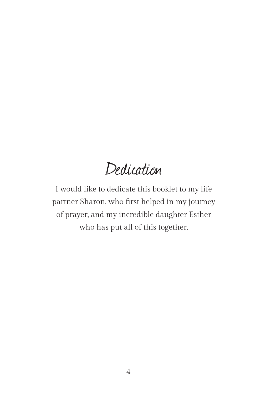Dedication

I would like to dedicate this booklet to my life partner Sharon, who first helped in my journey of prayer, and my incredible daughter Esther who has put all of this together.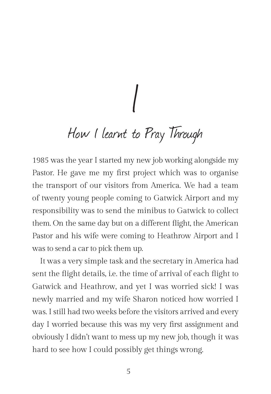# 1 How I learnt to Pray Through

1985 was the year I started my new job working alongside my Pastor. He gave me my first project which was to organise the transport of our visitors from America. We had a team of twenty young people coming to Gatwick Airport and my responsibility was to send the minibus to Gatwick to collect them. On the same day but on a different flight, the American Pastor and his wife were coming to Heathrow Airport and I was to send a car to pick them up.

It was a very simple task and the secretary in America had sent the flight details, i.e. the time of arrival of each flight to Gatwick and Heathrow, and yet I was worried sick! I was newly married and my wife Sharon noticed how worried I was. I still had two weeks before the visitors arrived and every day I worried because this was my very first assignment and obviously I didn't want to mess up my new job, though it was hard to see how I could possibly get things wrong.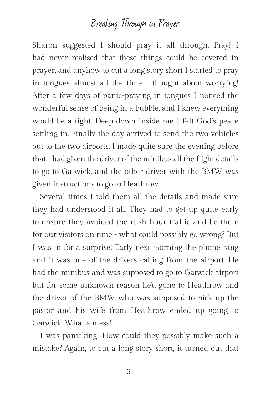Sharon suggested I should pray it all through. Pray? I had never realised that these things could be covered in prayer, and anyhow to cut a long story short I started to pray in tongues almost all the time I thought about worrying! After a few days of panic-praying in tongues I noticed the wonderful sense of being in a bubble, and I knew everything would be alright. Deep down inside me I felt God's peace settling in. Finally the day arrived to send the two vehicles out to the two airports. I made quite sure the evening before that I had given the driver of the minibus all the flight details to go to Gatwick, and the other driver with the BMW was given instructions to go to Heathrow.

Several times I told them all the details and made sure they had understood it all. They had to get up quite early to ensure they avoided the rush hour traffic and be there for our visitors on time - what could possibly go wrong? But I was in for a surprise! Early next morning the phone rang and it was one of the drivers calling from the airport. He had the minibus and was supposed to go to Gatwick airport but for some unknown reason he'd gone to Heathrow and the driver of the BMW who was supposed to pick up the pastor and his wife from Heathrow ended up going to Gatwick. What a mess!

I was panicking! How could they possibly make such a mistake? Again, to cut a long story short, it turned out that

6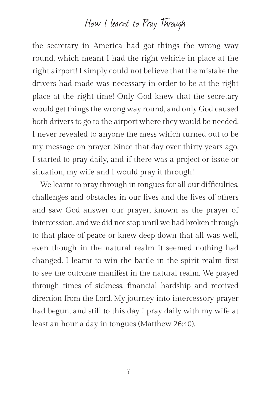#### How I learnt to Pray Through

the secretary in America had got things the wrong way round, which meant I had the right vehicle in place at the right airport! I simply could not believe that the mistake the drivers had made was necessary in order to be at the right place at the right time! Only God knew that the secretary would get things the wrong way round, and only God caused both drivers to go to the airport where they would be needed. I never revealed to anyone the mess which turned out to be my message on prayer. Since that day over thirty years ago, I started to pray daily, and if there was a project or issue or situation, my wife and I would pray it through!

We learnt to pray through in tongues for all our difficulties, challenges and obstacles in our lives and the lives of others and saw God answer our prayer, known as the prayer of intercession, and we did not stop until we had broken through to that place of peace or knew deep down that all was well, even though in the natural realm it seemed nothing had changed. I learnt to win the battle in the spirit realm first to see the outcome manifest in the natural realm. We prayed through times of sickness, financial hardship and received direction from the Lord. My journey into intercessory prayer had begun, and still to this day I pray daily with my wife at least an hour a day in tongues (Matthew 26:40).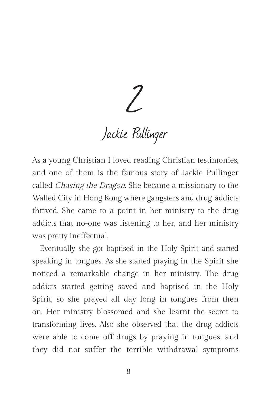2

## Jackie Pullinger

As a young Christian I loved reading Christian testimonies, and one of them is the famous story of Jackie Pullinger called Chasing the Dragon. She became a missionary to the Walled City in Hong Kong where gangsters and drug-addicts thrived. She came to a point in her ministry to the drug addicts that no-one was listening to her, and her ministry was pretty ineffectual.

Eventually she got baptised in the Holy Spirit and started speaking in tongues. As she started praying in the Spirit she noticed a remarkable change in her ministry. The drug addicts started getting saved and baptised in the Holy Spirit, so she prayed all day long in tongues from then on. Her ministry blossomed and she learnt the secret to transforming lives. Also she observed that the drug addicts were able to come off drugs by praying in tongues, and they did not suffer the terrible withdrawal symptoms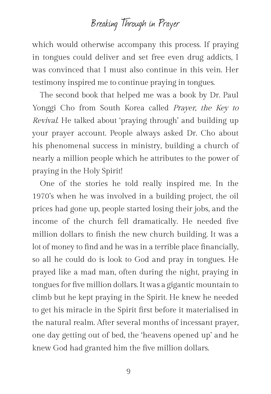which would otherwise accompany this process. If praying in tongues could deliver and set free even drug addicts, I was convinced that I must also continue in this vein. Her testimony inspired me to continue praying in tongues.

The second book that helped me was a book by Dr. Paul Yonggi Cho from South Korea called Prayer, the Key to Revival. He talked about 'praying through' and building up your prayer account. People always asked Dr. Cho about his phenomenal success in ministry, building a church of nearly a million people which he attributes to the power of praying in the Holy Spirit!

One of the stories he told really inspired me. In the 1970's when he was involved in a building project, the oil prices had gone up, people started losing their jobs, and the income of the church fell dramatically. He needed five million dollars to finish the new church building. It was a lot of money to find and he was in a terrible place financially, so all he could do is look to God and pray in tongues. He prayed like a mad man, often during the night, praying in tongues for five million dollars. It was a gigantic mountain to climb but he kept praying in the Spirit. He knew he needed to get his miracle in the Spirit first before it materialised in the natural realm. After several months of incessant prayer, one day getting out of bed, the 'heavens opened up' and he knew God had granted him the five million dollars.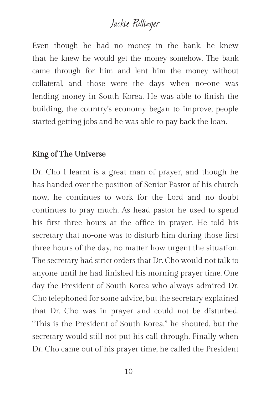#### Jackie Pullinger

Even though he had no money in the bank, he knew that he knew he would get the money somehow. The bank came through for him and lent him the money without collateral, and those were the days when no-one was lending money in South Korea. He was able to finish the building, the country's economy began to improve, people started getting jobs and he was able to pay back the loan.

#### King of The Universe

Dr. Cho I learnt is a great man of prayer, and though he has handed over the position of Senior Pastor of his church now, he continues to work for the Lord and no doubt continues to pray much. As head pastor he used to spend his first three hours at the office in prayer. He told his secretary that no-one was to disturb him during those first three hours of the day, no matter how urgent the situation. The secretary had strict orders that Dr. Cho would not talk to anyone until he had finished his morning prayer time. One day the President of South Korea who always admired Dr. Cho telephoned for some advice, but the secretary explained that Dr. Cho was in prayer and could not be disturbed. "This is the President of South Korea," he shouted, but the secretary would still not put his call through. Finally when Dr. Cho came out of his prayer time, he called the President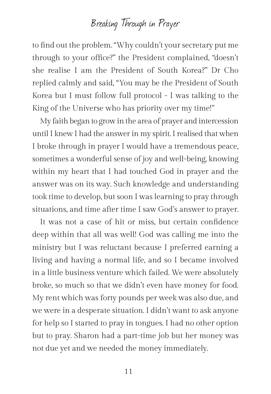to find out the problem. "Why couldn't your secretary put me through to your office?" the President complained, "doesn't she realise I am the President of South Korea?" Dr Cho replied calmly and said, "You may be the President of South Korea but I must follow full protocol - I was talking to the King of the Universe who has priority over my time!"

My faith began to grow in the area of prayer and intercession until I knew I had the answer in my spirit. I realised that when I broke through in prayer I would have a tremendous peace, sometimes a wonderful sense of joy and well-being, knowing within my heart that I had touched God in prayer and the answer was on its way. Such knowledge and understanding took time to develop, but soon I was learning to pray through situations, and time after time I saw God's answer to prayer.

It was not a case of hit or miss, but certain confidence deep within that all was well! God was calling me into the ministry but I was reluctant because I preferred earning a living and having a normal life, and so I became involved in a little business venture which failed. We were absolutely broke, so much so that we didn't even have money for food. My rent which was forty pounds per week was also due, and we were in a desperate situation. I didn't want to ask anyone for help so I started to pray in tongues. I had no other option but to pray. Sharon had a part-time job but her money was not due yet and we needed the money immediately.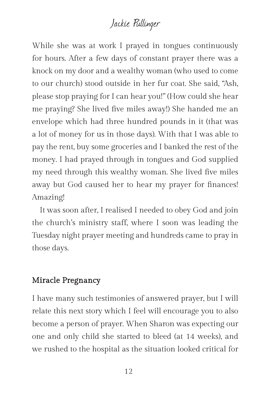#### Jackie Pullinger

While she was at work I prayed in tongues continuously for hours. After a few days of constant prayer there was a knock on my door and a wealthy woman (who used to come to our church) stood outside in her fur coat. She said, "Ash, please stop praying for I can hear you!" (How could she hear me praying? She lived five miles away!) She handed me an envelope which had three hundred pounds in it (that was a lot of money for us in those days). With that I was able to pay the rent, buy some groceries and I banked the rest of the money. I had prayed through in tongues and God supplied my need through this wealthy woman. She lived five miles away but God caused her to hear my prayer for finances! Amazing!

It was soon after, I realised I needed to obey God and join the church's ministry staff, where I soon was leading the Tuesday night prayer meeting and hundreds came to pray in those days.

#### Miracle Pregnancy

I have many such testimonies of answered prayer, but I will relate this next story which I feel will encourage you to also become a person of prayer. When Sharon was expecting our one and only child she started to bleed (at 14 weeks), and we rushed to the hospital as the situation looked critical for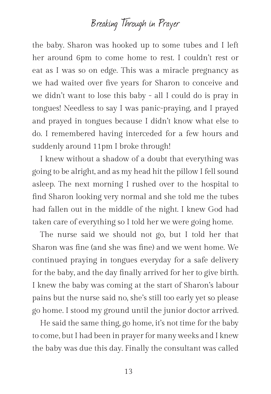the baby. Sharon was hooked up to some tubes and I left her around 6pm to come home to rest. I couldn't rest or eat as I was so on edge. This was a miracle pregnancy as we had waited over five years for Sharon to conceive and we didn't want to lose this baby - all I could do is pray in tongues! Needless to say I was panic-praying, and I prayed and prayed in tongues because I didn't know what else to do. I remembered having interceded for a few hours and suddenly around 11pm I broke through!

I knew without a shadow of a doubt that everything was going to be alright, and as my head hit the pillow I fell sound asleep. The next morning I rushed over to the hospital to find Sharon looking very normal and she told me the tubes had fallen out in the middle of the night. I knew God had taken care of everything so I told her we were going home.

The nurse said we should not go, but I told her that Sharon was fine (and she was fine) and we went home. We continued praying in tongues everyday for a safe delivery for the baby, and the day finally arrived for her to give birth. I knew the baby was coming at the start of Sharon's labour pains but the nurse said no, she's still too early yet so please go home. I stood my ground until the junior doctor arrived.

He said the same thing, go home, it's not time for the baby to come, but I had been in prayer for many weeks and I knew the baby was due this day. Finally the consultant was called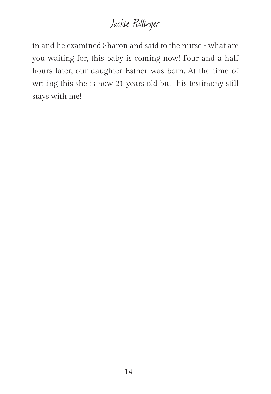## Jackie Pullinger

in and he examined Sharon and said to the nurse - what are you waiting for, this baby is coming now! Four and a half hours later, our daughter Esther was born. At the time of writing this she is now 21 years old but this testimony still stays with me!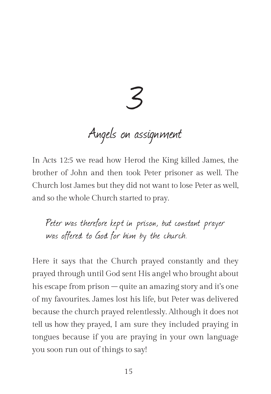3

# Angels on assignment

In Acts 12:5 we read how Herod the King killed James, the brother of John and then took Peter prisoner as well. The Church lost James but they did not want to lose Peter as well, and so the whole Church started to pray.

Peter was therefore kept in prison, but constant prayer was offered to God for him by the church.

Here it says that the Church prayed constantly and they prayed through until God sent His angel who brought about his escape from prison — quite an amazing story and it's one of my favourites. James lost his life, but Peter was delivered because the church prayed relentlessly. Although it does not tell us how they prayed, I am sure they included praying in tongues because if you are praying in your own language you soon run out of things to say!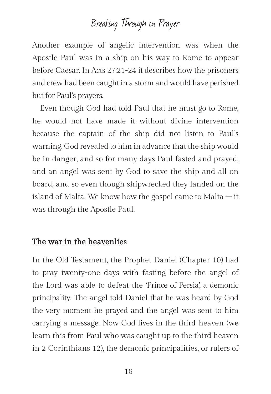Another example of angelic intervention was when the Apostle Paul was in a ship on his way to Rome to appear before Caesar. In Acts 27:21-24 it describes how the prisoners and crew had been caught in a storm and would have perished but for Paul's prayers.

Even though God had told Paul that he must go to Rome, he would not have made it without divine intervention because the captain of the ship did not listen to Paul's warning. God revealed to him in advance that the ship would be in danger, and so for many days Paul fasted and prayed, and an angel was sent by God to save the ship and all on board, and so even though shipwrecked they landed on the island of Malta. We know how the gospel came to Malta  $-$  it was through the Apostle Paul.

#### The war in the heavenlies

In the Old Testament, the Prophet Daniel (Chapter 10) had to pray twenty-one days with fasting before the angel of the Lord was able to defeat the 'Prince of Persia', a demonic principality. The angel told Daniel that he was heard by God the very moment he prayed and the angel was sent to him carrying a message. Now God lives in the third heaven (we learn this from Paul who was caught up to the third heaven in 2 Corinthians 12), the demonic principalities, or rulers of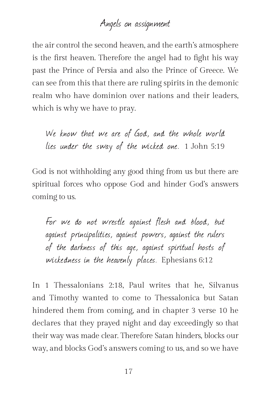#### Angels on assignment

the air control the second heaven, and the earth's atmosphere is the first heaven. Therefore the angel had to fight his way past the Prince of Persia and also the Prince of Greece. We can see from this that there are ruling spirits in the demonic realm who have dominion over nations and their leaders, which is why we have to pray.

We know that we are of God, and the whole world lies under the sway of the wicked one. 1 John 5:19

God is not withholding any good thing from us but there are spiritual forces who oppose God and hinder God's answers coming to us.

For we do not wrestle against flesh and blood, but against principalities, against powers, against the rulers of the darkness of this age, against spiritual hosts of wickedness in the heavenly places. Ephesians 6:12

In 1 Thessalonians 2:18, Paul writes that he, Silvanus and Timothy wanted to come to Thessalonica but Satan hindered them from coming, and in chapter 3 verse 10 he declares that they prayed night and day exceedingly so that their way was made clear. Therefore Satan hinders, blocks our way, and blocks God's answers coming to us, and so we have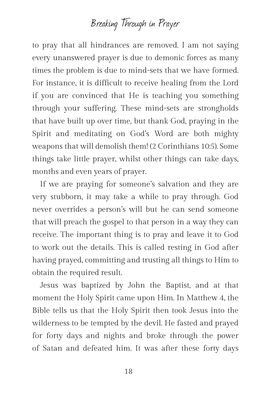to pray that all hindrances are removed. I am not saying every unanswered prayer is due to demonic forces as many times the problem is due to mind-sets that we have formed. For instance, it is difficult to receive healing from the Lord if you are convinced that He is teaching you something through your suffering. These mind-sets are strongholds that have built up over time, but thank God, praying in the Spirit and meditating on God's Word are both mighty weapons that will demolish them! (2 Corinthians 10:5). Some things take little prayer, whilst other things can take days, months and even years of prayer.

If we are praying for someone's salvation and they are very stubborn, it may take a while to pray through. God never overrides a person's will but he can send someone that will preach the gospel to that person in a way they can receive. The important thing is to pray and leave it to God to work out the details. This is called resting in God after having prayed, committing and trusting all things to Him to obtain the required result.

Jesus was baptized by John the Baptist, and at that moment the Holy Spirit came upon Him. In Matthew 4, the Bible tells us that the Holy Spirit then took Jesus into the wilderness to be tempted by the devil. He fasted and prayed for forty days and nights and broke through the power of Satan and defeated him. It was after these forty days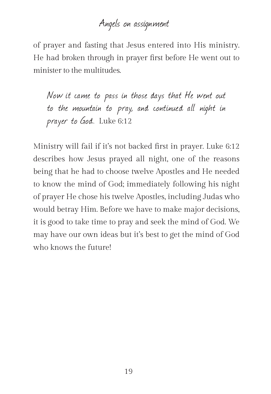#### Angels on assignment

of prayer and fasting that Jesus entered into His ministry. He had broken through in prayer first before He went out to minister to the multitudes.

Now it came to pass in those days that He went out to the mountain to pray, and continued all night in prayer to God. Luke 6:12

Ministry will fail if it's not backed first in prayer. Luke 6:12 describes how Jesus prayed all night, one of the reasons being that he had to choose twelve Apostles and He needed to know the mind of God; immediately following his night of prayer He chose his twelve Apostles, including Judas who would betray Him. Before we have to make major decisions, it is good to take time to pray and seek the mind of God. We may have our own ideas but it's best to get the mind of God who knows the future!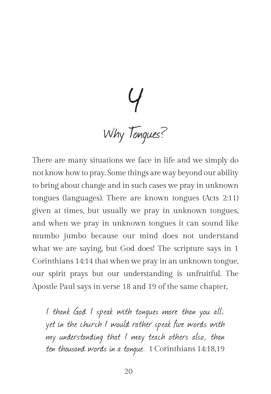4 Why Tongues?

There are many situations we face in life and we simply do not know how to pray. Some things are way beyond our ability to bring about change and in such cases we pray in unknown tongues (languages). There are known tongues (Acts 2:11) given at times, but usually we pray in unknown tongues, and when we pray in unknown tongues it can sound like mumbo jumbo because our mind does not understand what we are saying, but God does! The scripture says in 1 Corinthians 14:14 that when we pray in an unknown tongue, our spirit prays but our understanding is unfruitful. The Apostle Paul says in verse 18 and 19 of the same chapter,

I thank God I speak with tongues more than you all; yet in the church I would rather speak five words with my understanding that I may teach others also, than ten thousand words in a tongue. 1 Corinthians 14:18,19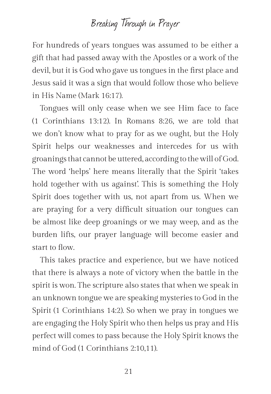For hundreds of years tongues was assumed to be either a gift that had passed away with the Apostles or a work of the devil, but it is God who gave us tongues in the first place and Jesus said it was a sign that would follow those who believe in His Name (Mark 16:17).

Tongues will only cease when we see Him face to face (1 Corinthians 13:12). In Romans 8:26, we are told that we don't know what to pray for as we ought, but the Holy Spirit helps our weaknesses and intercedes for us with groanings that cannot be uttered, according to the will of God. The word 'helps' here means literally that the Spirit 'takes hold together with us against'. This is something the Holy Spirit does together with us, not apart from us. When we are praying for a very difficult situation our tongues can be almost like deep groanings or we may weep, and as the burden lifts, our prayer language will become easier and start to flow.

This takes practice and experience, but we have noticed that there is always a note of victory when the battle in the spirit is won. The scripture also states that when we speak in an unknown tongue we are speaking mysteries to God in the Spirit (1 Corinthians 14:2). So when we pray in tongues we are engaging the Holy Spirit who then helps us pray and His perfect will comes to pass because the Holy Spirit knows the mind of God (1 Corinthians 2:10,11).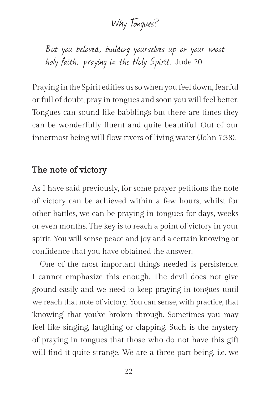Why Tongues?

But you beloved, building yourselves up on your most holy faith, praying in the Holy Spirit. Jude 20

Praying in the Spirit edifies us so when you feel down, fearful or full of doubt, pray in tongues and soon you will feel better. Tongues can sound like babblings but there are times they can be wonderfully fluent and quite beautiful. Out of our innermost being will flow rivers of living water (John 7:38).

#### The note of victory

As I have said previously, for some prayer petitions the note of victory can be achieved within a few hours, whilst for other battles, we can be praying in tongues for days, weeks or even months. The key is to reach a point of victory in your spirit. You will sense peace and joy and a certain knowing or confidence that you have obtained the answer.

One of the most important things needed is persistence. I cannot emphasize this enough. The devil does not give ground easily and we need to keep praying in tongues until we reach that note of victory. You can sense, with practice, that 'knowing' that you've broken through. Sometimes you may feel like singing, laughing or clapping. Such is the mystery of praying in tongues that those who do not have this gift will find it quite strange. We are a three part being, i.e. we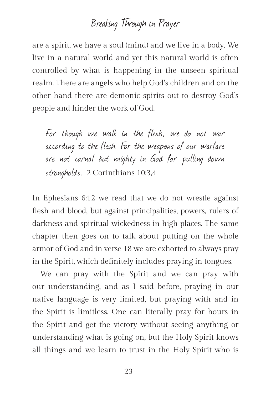are a spirit, we have a soul (mind) and we live in a body. We live in a natural world and yet this natural world is often controlled by what is happening in the unseen spiritual realm. There are angels who help God's children and on the other hand there are demonic spirits out to destroy God's people and hinder the work of God.

For though we walk in the flesh, we do not war according to the flesh. For the weapons of our warfare are not carnal but mighty in God for pulling down strongholds. 2 Corinthians 10:3,4

In Ephesians 6:12 we read that we do not wrestle against flesh and blood, but against principalities, powers, rulers of darkness and spiritual wickedness in high places. The same chapter then goes on to talk about putting on the whole armor of God and in verse 18 we are exhorted to always pray in the Spirit, which definitely includes praying in tongues.

We can pray with the Spirit and we can pray with our understanding, and as I said before, praying in our native language is very limited, but praying with and in the Spirit is limitless. One can literally pray for hours in the Spirit and get the victory without seeing anything or understanding what is going on, but the Holy Spirit knows all things and we learn to trust in the Holy Spirit who is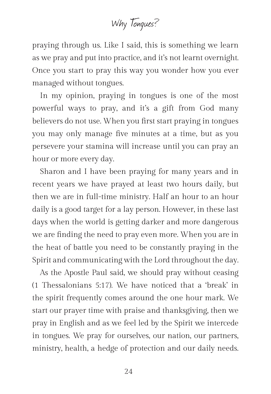Why Tongues?

praying through us. Like I said, this is something we learn as we pray and put into practice, and it's not learnt overnight. Once you start to pray this way you wonder how you ever managed without tongues.

In my opinion, praying in tongues is one of the most powerful ways to pray, and it's a gift from God many believers do not use. When you first start praying in tongues you may only manage five minutes at a time, but as you persevere your stamina will increase until you can pray an hour or more every day.

Sharon and I have been praying for many years and in recent years we have prayed at least two hours daily, but then we are in full-time ministry. Half an hour to an hour daily is a good target for a lay person. However, in these last days when the world is getting darker and more dangerous we are finding the need to pray even more. When you are in the heat of battle you need to be constantly praying in the Spirit and communicating with the Lord throughout the day.

As the Apostle Paul said, we should pray without ceasing (1 Thessalonians 5:17). We have noticed that a 'break' in the spirit frequently comes around the one hour mark. We start our prayer time with praise and thanksgiving, then we pray in English and as we feel led by the Spirit we intercede in tongues. We pray for ourselves, our nation, our partners, ministry, health, a hedge of protection and our daily needs.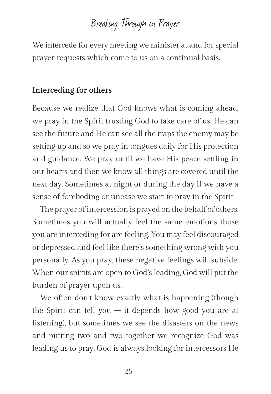We intercede for every meeting we minister at and for special prayer requests which come to us on a continual basis.

#### Interceding for others

Because we realize that God knows what is coming ahead, we pray in the Spirit trusting God to take care of us. He can see the future and He can see all the traps the enemy may be setting up and so we pray in tongues daily for His protection and guidance. We pray until we have His peace settling in our hearts and then we know all things are covered until the next day. Sometimes at night or during the day if we have a sense of foreboding or unease we start to pray in the Spirit.

The prayer of intercession is prayed on the behalf of others. Sometimes you will actually feel the same emotions those you are interceding for are feeling. You may feel discouraged or depressed and feel like there's something wrong with you personally. As you pray, these negative feelings will subside. When our spirits are open to God's leading, God will put the burden of prayer upon us.

We often don't know exactly what is happening (though the Spirit can tell you  $-$  it depends how good you are at listening), but sometimes we see the disasters on the news and putting two and two together we recognize God was leading us to pray. God is always looking for intercessors He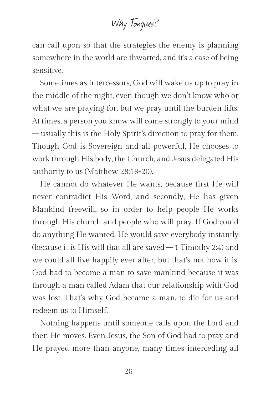Why Tongues?

can call upon so that the strategies the enemy is planning somewhere in the world are thwarted, and it's a case of being sensitive.

Sometimes as intercessors, God will wake us up to pray in the middle of the night, even though we don't know who or what we are praying for, but we pray until the burden lifts. At times, a person you know will come strongly to your mind – usually this is the Holy Spirit's direction to pray for them. Though God is Sovereign and all powerful, He chooses to work through His body, the Church, and Jesus delegated His authority to us (Matthew 28:18-20).

He cannot do whatever He wants, because first He will never contradict His Word, and secondly, He has given Mankind freewill, so in order to help people He works through His church and people who will pray. If God could do anything He wanted, He would save everybody instantly (because it is His will that all are saved  $-1$  Timothy 2:4) and we could all live happily ever after, but that's not how it is. God had to become a man to save mankind because it was through a man called Adam that our relationship with God was lost. That's why God became a man, to die for us and redeem us to Himself.

Nothing happens until someone calls upon the Lord and then He moves. Even Jesus, the Son of God had to pray and He prayed more than anyone, many times interceding all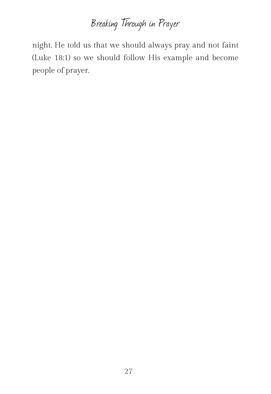night. He told us that we should always pray and not faint (Luke 18:1) so we should follow His example and become people of prayer.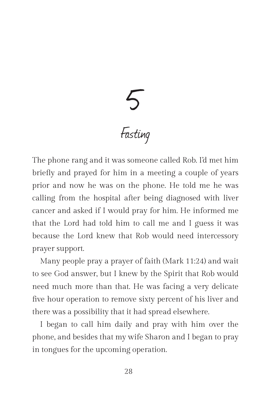5 Fasting

The phone rang and it was someone called Rob. I'd met him briefly and prayed for him in a meeting a couple of years prior and now he was on the phone. He told me he was calling from the hospital after being diagnosed with liver cancer and asked if I would pray for him. He informed me that the Lord had told him to call me and I guess it was because the Lord knew that Rob would need intercessory prayer support.

Many people pray a prayer of faith (Mark 11:24) and wait to see God answer, but I knew by the Spirit that Rob would need much more than that. He was facing a very delicate five hour operation to remove sixty percent of his liver and there was a possibility that it had spread elsewhere.

I began to call him daily and pray with him over the phone, and besides that my wife Sharon and I began to pray in tongues for the upcoming operation.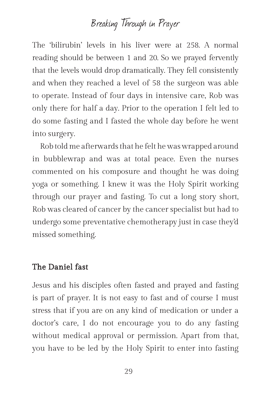The 'bilirubin' levels in his liver were at 258. A normal reading should be between 1 and 20. So we prayed fervently that the levels would drop dramatically. They fell consistently and when they reached a level of 58 the surgeon was able to operate. Instead of four days in intensive care, Rob was only there for half a day. Prior to the operation I felt led to do some fasting and I fasted the whole day before he went into surgery.

Rob told me afterwards that he felt he was wrapped around in bubblewrap and was at total peace. Even the nurses commented on his composure and thought he was doing yoga or something. I knew it was the Holy Spirit working through our prayer and fasting. To cut a long story short, Rob was cleared of cancer by the cancer specialist but had to undergo some preventative chemotherapy just in case they'd missed something.

#### The Daniel fast

Jesus and his disciples often fasted and prayed and fasting is part of prayer. It is not easy to fast and of course I must stress that if you are on any kind of medication or under a doctor's care, I do not encourage you to do any fasting without medical approval or permission. Apart from that, you have to be led by the Holy Spirit to enter into fasting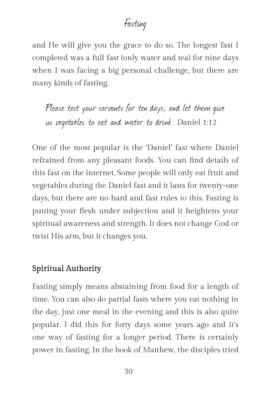#### Fasting

and He will give you the grace to do so. The longest fast I completed was a full fast (only water and tea) for nine days when I was facing a big personal challenge, but there are many kinds of fasting.

Please test your servants for ten days, and let them give us vegetables to eat and water to drink. Daniel 1:12

One of the most popular is the 'Daniel' fast where Daniel refrained from any pleasant foods. You can find details of this fast on the internet. Some people will only eat fruit and vegetables during the Daniel fast and it lasts for twenty-one days, but there are no hard and fast rules to this. Fasting is putting your flesh under subjection and it heightens your spiritual awareness and strength. It does not change God or twist His arm, but it changes you.

#### Spiritual Authority

Fasting simply means abstaining from food for a length of time. You can also do partial fasts where you eat nothing in the day, just one meal in the evening and this is also quite popular. I did this for forty days some years ago and it's one way of fasting for a longer period. There is certainly power in fasting. In the book of Matthew, the disciples tried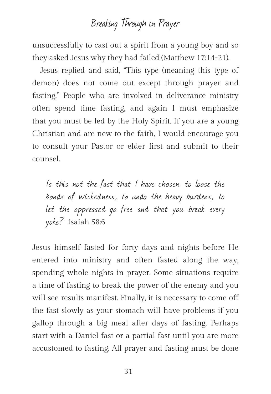unsuccessfully to cast out a spirit from a young boy and so they asked Jesus why they had failed (Matthew 17:14-21).

Jesus replied and said, "This type (meaning this type of demon) does not come out except through prayer and fasting." People who are involved in deliverance ministry often spend time fasting, and again I must emphasize that you must be led by the Holy Spirit. If you are a young Christian and are new to the faith, I would encourage you to consult your Pastor or elder first and submit to their counsel.

Is this not the fast that I have chosen: to loose the bonds of wickedness, to undo the heavy burdens, to let the oppressed go free and that you break every yoke? Isaiah 58:6

Jesus himself fasted for forty days and nights before He entered into ministry and often fasted along the way, spending whole nights in prayer. Some situations require a time of fasting to break the power of the enemy and you will see results manifest. Finally, it is necessary to come off the fast slowly as your stomach will have problems if you gallop through a big meal after days of fasting. Perhaps start with a Daniel fast or a partial fast until you are more accustomed to fasting. All prayer and fasting must be done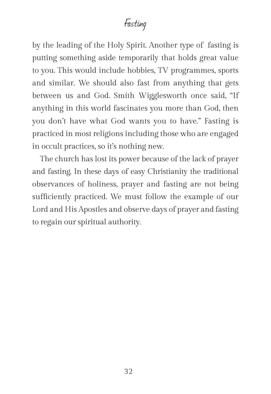#### Fasting

by the leading of the Holy Spirit. Another type of fasting is putting something aside temporarily that holds great value to you. This would include hobbies, TV programmes, sports and similar. We should also fast from anything that gets between us and God. Smith Wigglesworth once said, "If anything in this world fascinates you more than God, then you don't have what God wants you to have." Fasting is practiced in most religions including those who are engaged in occult practices, so it's nothing new.

The church has lost its power because of the lack of prayer and fasting. In these days of easy Christianity the traditional observances of holiness, prayer and fasting are not being sufficiently practiced. We must follow the example of our Lord and His Apostles and observe days of prayer and fasting to regain our spiritual authority.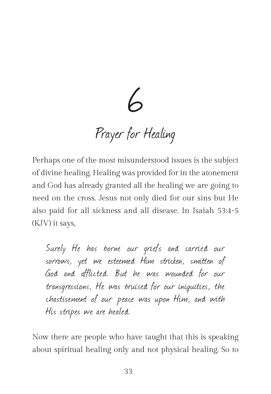6

Prayer for Healing

Perhaps one of the most misunderstood issues is the subject of divine healing. Healing was provided for in the atonement and God has already granted all the healing we are going to need on the cross. Jesus not only died for our sins but He also paid for all sickness and all disease. In Isaiah 53:4-5 (KJV) it says,

Surely He has borne our griefs and carried our sorrows, yet we esteemed Him stricken, smitten of God and afflicted. But he was wounded for our transgressions, He was bruised for our iniquities, the chastisement of our peace was upon Him, and with His stripes we are healed.

Now there are people who have taught that this is speaking about spiritual healing only and not physical healing. So to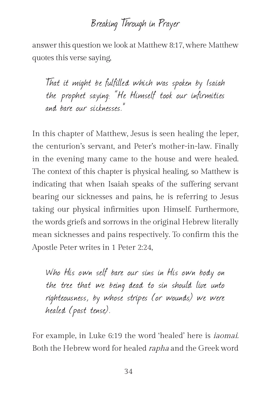answer this question we look at Matthew 8:17, where Matthew quotes this verse saying,

That it might be fulfilled which was spoken by Isaiah the prophet saying: "He Himself took our infirmities and bare our sicknesses.

In this chapter of Matthew, Jesus is seen healing the leper, the centurion's servant, and Peter's mother-in-law. Finally in the evening many came to the house and were healed. The context of this chapter is physical healing, so Matthew is indicating that when Isaiah speaks of the suffering servant bearing our sicknesses and pains, he is referring to Jesus taking our physical infirmities upon Himself. Furthermore, the words griefs and sorrows in the original Hebrew literally mean sicknesses and pains respectively. To confirm this the Apostle Peter writes in 1 Peter 2:24,

Who His own self bare our sins in His own body on the tree that we being dead to sin should live unto righteousness, by whose stripes (or wounds) we were healed (past tense).

For example, in Luke 6:19 the word 'healed' here is iaomai. Both the Hebrew word for healed rapha and the Greek word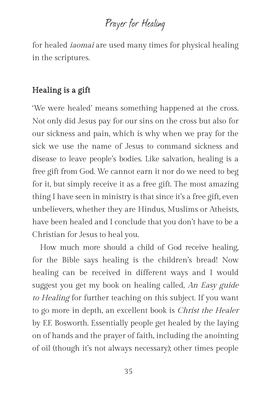#### Prayer for Healing

for healed *iaomai* are used many times for physical healing in the scriptures.

#### Healing is a gift

'We were healed' means something happened at the cross. Not only did Jesus pay for our sins on the cross but also for our sickness and pain, which is why when we pray for the sick we use the name of Jesus to command sickness and disease to leave people's bodies. Like salvation, healing is a free gift from God. We cannot earn it nor do we need to beg for it, but simply receive it as a free gift. The most amazing thing I have seen in ministry is that since it's a free gift, even unbelievers, whether they are Hindus, Muslims or Atheists, have been healed and I conclude that you don't have to be a Christian for Jesus to heal you.

How much more should a child of God receive healing, for the Bible says healing is the children's bread! Now healing can be received in different ways and I would suggest you get my book on healing called, An Easy guide to Healing for further teaching on this subject. If you want to go more in depth, an excellent book is Christ the Healer by F.F. Bosworth. Essentially people get healed by the laying on of hands and the prayer of faith, including the anointing of oil (though it's not always necessary); other times people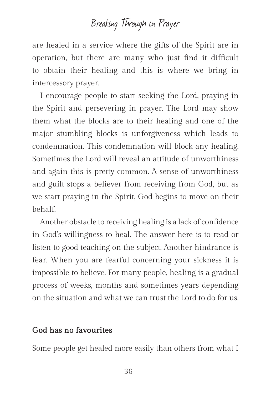are healed in a service where the gifts of the Spirit are in operation, but there are many who just find it difficult to obtain their healing and this is where we bring in intercessory prayer.

I encourage people to start seeking the Lord, praying in the Spirit and persevering in prayer. The Lord may show them what the blocks are to their healing and one of the major stumbling blocks is unforgiveness which leads to condemnation. This condemnation will block any healing. Sometimes the Lord will reveal an attitude of unworthiness and again this is pretty common. A sense of unworthiness and guilt stops a believer from receiving from God, but as we start praying in the Spirit, God begins to move on their behalf.

Another obstacle to receiving healing is a lack of confidence in God's willingness to heal. The answer here is to read or listen to good teaching on the subject. Another hindrance is fear. When you are fearful concerning your sickness it is impossible to believe. For many people, healing is a gradual process of weeks, months and sometimes years depending on the situation and what we can trust the Lord to do for us.

#### God has no favourites

Some people get healed more easily than others from what I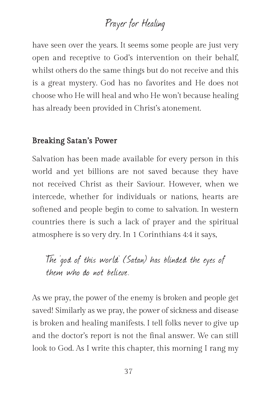### Prayer for Healing

have seen over the years. It seems some people are just very open and receptive to God's intervention on their behalf, whilst others do the same things but do not receive and this is a great mystery. God has no favorites and He does not choose who He will heal and who He won't because healing has already been provided in Christ's atonement.

### Breaking Satan's Power

Salvation has been made available for every person in this world and yet billions are not saved because they have not received Christ as their Saviour. However, when we intercede, whether for individuals or nations, hearts are softened and people begin to come to salvation. In western countries there is such a lack of prayer and the spiritual atmosphere is so very dry. In 1 Corinthians 4:4 it says,

The 'god of this world' (Satan) has blinded the eyes of them who do not believe.

As we pray, the power of the enemy is broken and people get saved! Similarly as we pray, the power of sickness and disease is broken and healing manifests. I tell folks never to give up and the doctor's report is not the final answer. We can still look to God. As I write this chapter, this morning I rang my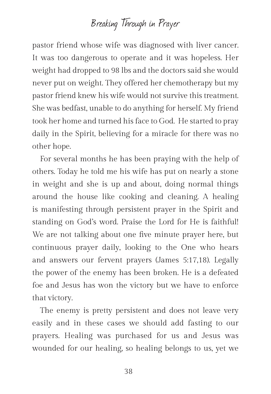pastor friend whose wife was diagnosed with liver cancer. It was too dangerous to operate and it was hopeless. Her weight had dropped to 98 lbs and the doctors said she would never put on weight. They offered her chemotherapy but my pastor friend knew his wife would not survive this treatment. She was bedfast, unable to do anything for herself. My friend took her home and turned his face to God. He started to pray daily in the Spirit, believing for a miracle for there was no other hope.

For several months he has been praying with the help of others. Today he told me his wife has put on nearly a stone in weight and she is up and about, doing normal things around the house like cooking and cleaning. A healing is manifesting through persistent prayer in the Spirit and standing on God's word. Praise the Lord for He is faithful! We are not talking about one five minute prayer here, but continuous prayer daily, looking to the One who hears and answers our fervent prayers (James 5:17,18). Legally the power of the enemy has been broken. He is a defeated foe and Jesus has won the victory but we have to enforce that victory.

The enemy is pretty persistent and does not leave very easily and in these cases we should add fasting to our prayers. Healing was purchased for us and Jesus was wounded for our healing, so healing belongs to us, yet we

38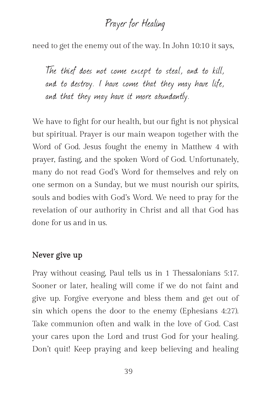### Prayer for Healing

need to get the enemy out of the way. In John 10:10 it says,

The thief does not come except to steal, and to kill, and to destroy. I have come that they may have life, and that they may have it more abundantly.

We have to fight for our health, but our fight is not physical but spiritual. Prayer is our main weapon together with the Word of God. Jesus fought the enemy in Matthew 4 with prayer, fasting, and the spoken Word of God. Unfortunately, many do not read God's Word for themselves and rely on one sermon on a Sunday, but we must nourish our spirits, souls and bodies with God's Word. We need to pray for the revelation of our authority in Christ and all that God has done for us and in us.

### Never give up

Pray without ceasing, Paul tells us in 1 Thessalonians 5:17. Sooner or later, healing will come if we do not faint and give up. Forgive everyone and bless them and get out of sin which opens the door to the enemy (Ephesians 4:27). Take communion often and walk in the love of God. Cast your cares upon the Lord and trust God for your healing. Don't quit! Keep praying and keep believing and healing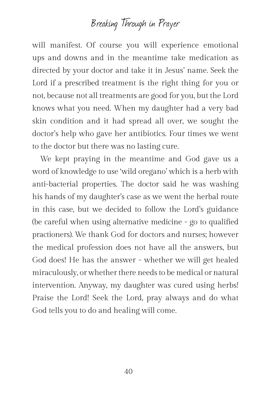will manifest. Of course you will experience emotional ups and downs and in the meantime take medication as directed by your doctor and take it in Jesus' name. Seek the Lord if a prescribed treatment is the right thing for you or not, because not all treatments are good for you, but the Lord knows what you need. When my daughter had a very bad skin condition and it had spread all over, we sought the doctor's help who gave her antibiotics. Four times we went to the doctor but there was no lasting cure.

We kept praying in the meantime and God gave us a word of knowledge to use 'wild oregano' which is a herb with anti-bacterial properties. The doctor said he was washing his hands of my daughter's case as we went the herbal route in this case, but we decided to follow the Lord's guidance (be careful when using alternative medicine - go to qualified practioners). We thank God for doctors and nurses; however the medical profession does not have all the answers, but God does! He has the answer - whether we will get healed miraculously, or whether there needs to be medical or natural intervention. Anyway, my daughter was cured using herbs! Praise the Lord! Seek the Lord, pray always and do what God tells you to do and healing will come.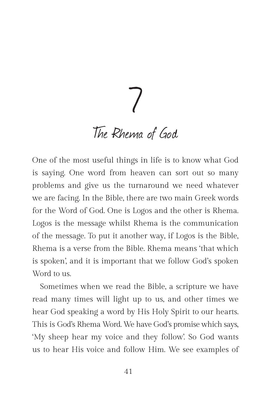7 The Rhema of God

One of the most useful things in life is to know what God is saying. One word from heaven can sort out so many problems and give us the turnaround we need whatever we are facing. In the Bible, there are two main Greek words for the Word of God. One is Logos and the other is Rhema. Logos is the message whilst Rhema is the communication of the message. To put it another way, if Logos is the Bible, Rhema is a verse from the Bible. Rhema means 'that which is spoken', and it is important that we follow God's spoken Word to us.

Sometimes when we read the Bible, a scripture we have read many times will light up to us, and other times we hear God speaking a word by His Holy Spirit to our hearts. This is God's Rhema Word. We have God's promise which says, 'My sheep hear my voice and they follow'. So God wants us to hear His voice and follow Him. We see examples of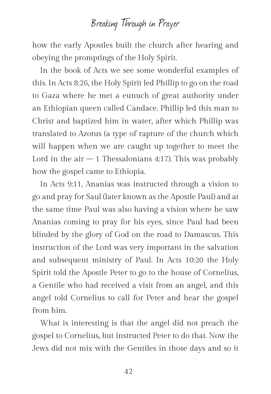how the early Apostles built the church after hearing and obeying the promptings of the Holy Spirit.

In the book of Acts we see some wonderful examples of this. In Acts 8:26, the Holy Spirit led Phillip to go on the road to Gaza where he met a eunuch of great authority under an Ethiopian queen called Candace. Phillip led this man to Christ and baptized him in water, after which Phillip was translated to Azotus (a type of rapture of the church which will happen when we are caught up together to meet the Lord in the air  $-1$  Thessalonians 4:17). This was probably how the gospel came to Ethiopia.

In Acts 9:11, Ananias was instructed through a vision to go and pray for Saul (later known as the Apostle Paul) and at the same time Paul was also having a vision where he saw Ananias coming to pray for his eyes, since Paul had been blinded by the glory of God on the road to Damascus. This instruction of the Lord was very important in the salvation and subsequent ministry of Paul. In Acts 10:20 the Holy Spirit told the Apostle Peter to go to the house of Cornelius, a Gentile who had received a visit from an angel, and this angel told Cornelius to call for Peter and hear the gospel from him.

What is interesting is that the angel did not preach the gospel to Cornelius, but instructed Peter to do that. Now the Jews did not mix with the Gentiles in those days and so it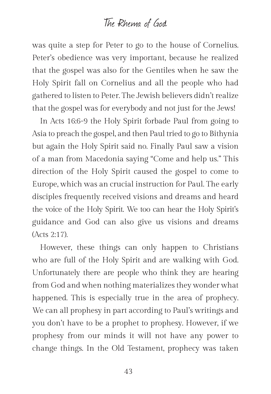### The Rhema of God

was quite a step for Peter to go to the house of Cornelius. Peter's obedience was very important, because he realized that the gospel was also for the Gentiles when he saw the Holy Spirit fall on Cornelius and all the people who had gathered to listen to Peter. The Jewish believers didn't realize that the gospel was for everybody and not just for the Jews!

In Acts 16:6-9 the Holy Spirit forbade Paul from going to Asia to preach the gospel, and then Paul tried to go to Bithynia but again the Holy Spirit said no. Finally Paul saw a vision of a man from Macedonia saying "Come and help us." This direction of the Holy Spirit caused the gospel to come to Europe, which was an crucial instruction for Paul. The early disciples frequently received visions and dreams and heard the voice of the Holy Spirit. We too can hear the Holy Spirit's guidance and God can also give us visions and dreams (Acts 2:17).

However, these things can only happen to Christians who are full of the Holy Spirit and are walking with God. Unfortunately there are people who think they are hearing from God and when nothing materializes they wonder what happened. This is especially true in the area of prophecy. We can all prophesy in part according to Paul's writings and you don't have to be a prophet to prophesy. However, if we prophesy from our minds it will not have any power to change things. In the Old Testament, prophecy was taken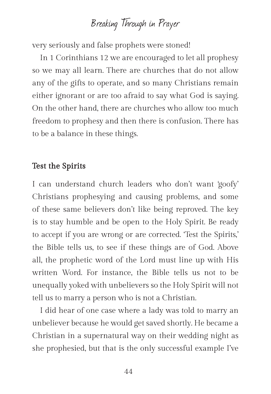very seriously and false prophets were stoned!

In 1 Corinthians 12 we are encouraged to let all prophesy so we may all learn. There are churches that do not allow any of the gifts to operate, and so many Christians remain either ignorant or are too afraid to say what God is saying. On the other hand, there are churches who allow too much freedom to prophesy and then there is confusion. There has to be a balance in these things.

### Test the Spirits

I can understand church leaders who don't want 'goofy' Christians prophesying and causing problems, and some of these same believers don't like being reproved. The key is to stay humble and be open to the Holy Spirit. Be ready to accept if you are wrong or are corrected. 'Test the Spirits,' the Bible tells us, to see if these things are of God. Above all, the prophetic word of the Lord must line up with His written Word. For instance, the Bible tells us not to be unequally yoked with unbelievers so the Holy Spirit will not tell us to marry a person who is not a Christian.

I did hear of one case where a lady was told to marry an unbeliever because he would get saved shortly. He became a Christian in a supernatural way on their wedding night as she prophesied, but that is the only successful example I've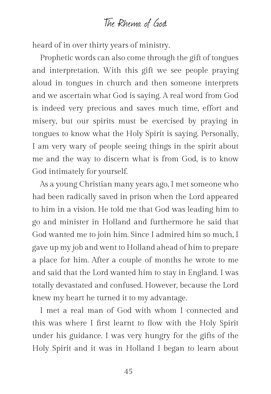### The Rhema of God

heard of in over thirty years of ministry.

Prophetic words can also come through the gift of tongues and interpretation. With this gift we see people praying aloud in tongues in church and then someone interprets and we ascertain what God is saying. A real word from God is indeed very precious and saves much time, effort and misery, but our spirits must be exercised by praying in tongues to know what the Holy Spirit is saying. Personally, I am very wary of people seeing things in the spirit about me and the way to discern what is from God, is to know God intimately for yourself.

As a young Christian many years ago, I met someone who had been radically saved in prison when the Lord appeared to him in a vision. He told me that God was leading him to go and minister in Holland and furthermore he said that God wanted me to join him. Since I admired him so much, I gave up my job and went to Holland ahead of him to prepare a place for him. After a couple of months he wrote to me and said that the Lord wanted him to stay in England. I was totally devastated and confused. However, because the Lord knew my heart he turned it to my advantage.

I met a real man of God with whom I connected and this was where I first learnt to flow with the Holy Spirit under his guidance. I was very hungry for the gifts of the Holy Spirit and it was in Holland I began to learn about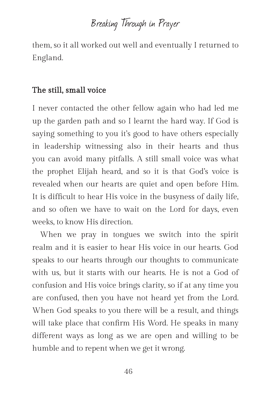them, so it all worked out well and eventually I returned to England.

### The still, small voice

I never contacted the other fellow again who had led me up the garden path and so I learnt the hard way. If God is saying something to you it's good to have others especially in leadership witnessing also in their hearts and thus you can avoid many pitfalls. A still small voice was what the prophet Elijah heard, and so it is that God's voice is revealed when our hearts are quiet and open before Him. It is difficult to hear His voice in the busyness of daily life, and so often we have to wait on the Lord for days, even weeks, to know His direction.

When we pray in tongues we switch into the spirit realm and it is easier to hear His voice in our hearts. God speaks to our hearts through our thoughts to communicate with us, but it starts with our hearts. He is not a God of confusion and His voice brings clarity, so if at any time you are confused, then you have not heard yet from the Lord. When God speaks to you there will be a result, and things will take place that confirm His Word. He speaks in many different ways as long as we are open and willing to be humble and to repent when we get it wrong.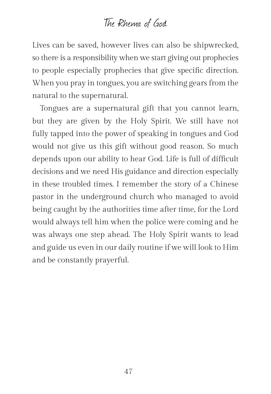### The Rhema of God

Lives can be saved, however lives can also be shipwrecked, so there is a responsibility when we start giving out prophecies to people especially prophecies that give specific direction. When you pray in tongues, you are switching gears from the natural to the supernatural.

Tongues are a supernatural gift that you cannot learn, but they are given by the Holy Spirit. We still have not fully tapped into the power of speaking in tongues and God would not give us this gift without good reason. So much depends upon our ability to hear God. Life is full of difficult decisions and we need His guidance and direction especially in these troubled times. I remember the story of a Chinese pastor in the underground church who managed to avoid being caught by the authorities time after time, for the Lord would always tell him when the police were coming and he was always one step ahead. The Holy Spirit wants to lead and guide us even in our daily routine if we will look to Him and be constantly prayerful.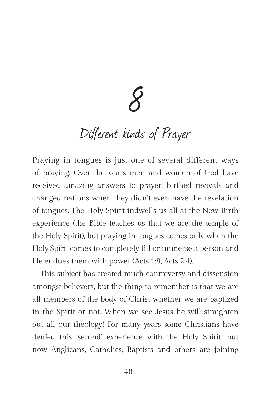8

Different kinds of Prayer

Praying in tongues is just one of several different ways of praying. Over the years men and women of God have received amazing answers to prayer, birthed revivals and changed nations when they didn't even have the revelation of tongues. The Holy Spirit indwells us all at the New Birth experience (the Bible teaches us that we are the temple of the Holy Spirit), but praying in tongues comes only when the Holy Spirit comes to completely fill or immerse a person and He endues them with power (Acts 1:8, Acts 2:4).

This subject has created much controversy and dissension amongst believers, but the thing to remember is that we are all members of the body of Christ whether we are baptized in the Spirit or not. When we see Jesus he will straighten out all our theology! For many years some Christians have denied this 'second' experience with the Holy Spirit, but now Anglicans, Catholics, Baptists and others are joining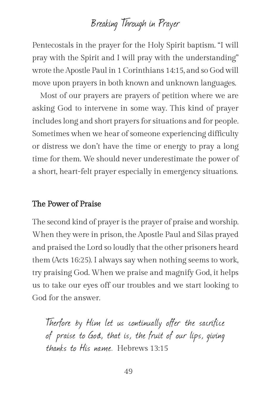Pentecostals in the prayer for the Holy Spirit baptism. "I will pray with the Spirit and I will pray with the understanding" wrote the Apostle Paul in 1 Corinthians 14:15, and so God will move upon prayers in both known and unknown languages.

Most of our prayers are prayers of petition where we are asking God to intervene in some way. This kind of prayer includes long and short prayers for situations and for people. Sometimes when we hear of someone experiencing difficulty or distress we don't have the time or energy to pray a long time for them. We should never underestimate the power of a short, heart-felt prayer especially in emergency situations.

### The Power of Praise

The second kind of prayer is the prayer of praise and worship. When they were in prison, the Apostle Paul and Silas prayed and praised the Lord so loudly that the other prisoners heard them (Acts 16:25). I always say when nothing seems to work, try praising God. When we praise and magnify God, it helps us to take our eyes off our troubles and we start looking to God for the answer.

Therfore by Him let us continually offer the sacrifice of praise to God, that is, the fruit of our lips, giving thanks to His name. Hebrews 13:15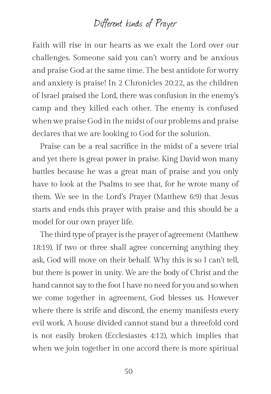### Different kinds of Prayer

Faith will rise in our hearts as we exalt the Lord over our challenges. Someone said you can't worry and be anxious and praise God at the same time. The best antidote for worry and anxiety is praise! In 2 Chronicles 20:22, as the children of Israel praised the Lord, there was confusion in the enemy's camp and they killed each other. The enemy is confused when we praise God in the midst of our problems and praise declares that we are looking to God for the solution.

Praise can be a real sacrifice in the midst of a severe trial and yet there is great power in praise. King David won many battles because he was a great man of praise and you only have to look at the Psalms to see that, for he wrote many of them. We see in the Lord's Prayer (Matthew 6:9) that Jesus starts and ends this prayer with praise and this should be a model for our own prayer life.

The third type of prayer is the prayer of agreement (Matthew 18:19). If two or three shall agree concerning anything they ask, God will move on their behalf. Why this is so I can't tell, but there is power in unity. We are the body of Christ and the hand cannot say to the foot I have no need for you and so when we come together in agreement, God blesses us. However where there is strife and discord, the enemy manifests every evil work. A house divided cannot stand but a threefold cord is not easily broken (Ecclesiastes 4:12), which implies that when we join together in one accord there is more spiritual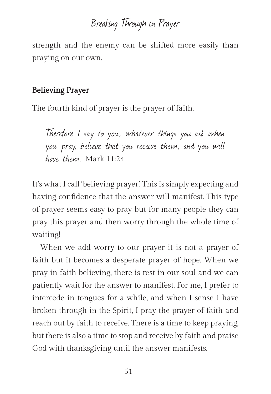strength and the enemy can be shifted more easily than praying on our own.

### Believing Prayer

The fourth kind of prayer is the prayer of faith.

Therefore I say to you, whatever things you ask when you pray, believe that you receive them, and you will have them. Mark 11:24

It's what I call 'believing prayer'. This is simply expecting and having confidence that the answer will manifest. This type of prayer seems easy to pray but for many people they can pray this prayer and then worry through the whole time of waiting!

When we add worry to our prayer it is not a prayer of faith but it becomes a desperate prayer of hope. When we pray in faith believing, there is rest in our soul and we can patiently wait for the answer to manifest. For me, I prefer to intercede in tongues for a while, and when I sense I have broken through in the Spirit, I pray the prayer of faith and reach out by faith to receive. There is a time to keep praying, but there is also a time to stop and receive by faith and praise God with thanksgiving until the answer manifests.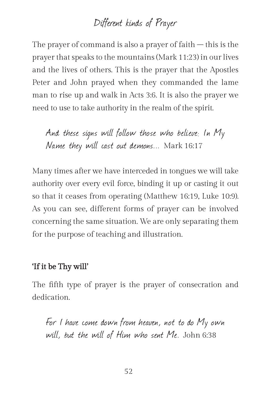### Different kinds of Prayer

The prayer of command is also a prayer of faith  $-$  this is the prayer that speaks to the mountains (Mark 11:23) in our lives and the lives of others. This is the prayer that the Apostles Peter and John prayed when they commanded the lame man to rise up and walk in Acts 3:6. It is also the prayer we need to use to take authority in the realm of the spirit.

And these signs will follow those who believe: In My Name they will cast out demons... Mark 16:17

Many times after we have interceded in tongues we will take authority over every evil force, binding it up or casting it out so that it ceases from operating (Matthew 16:19, Luke 10:9). As you can see, different forms of prayer can be involved concerning the same situation. We are only separating them for the purpose of teaching and illustration.

#### 'If it be Thy will'

The fifth type of prayer is the prayer of consecration and dedication.

For I have come down from heaven, not to do My own will, but the will of Him who sent Me. John 6:38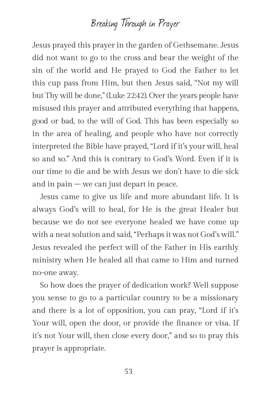Jesus prayed this prayer in the garden of Gethsemane. Jesus did not want to go to the cross and bear the weight of the sin of the world and He prayed to God the Father to let this cup pass from Him, but then Jesus said, "Not my will but Thy will be done," (Luke 22:42). Over the years people have misused this prayer and attributed everything that happens, good or bad, to the will of God. This has been especially so in the area of healing, and people who have not correctly interpreted the Bible have prayed, "Lord if it's your will, heal so and so." And this is contrary to God's Word. Even if it is our time to die and be with Jesus we don't have to die sick and in  $\gamma$  pain — we can just depart in peace.

Jesus came to give us life and more abundant life. It is always God's will to heal, for He is the great Healer but because we do not see everyone healed we have come up with a neat solution and said, "Perhaps it was not God's will." Jesus revealed the perfect will of the Father in His earthly ministry when He healed all that came to Him and turned no-one away.

So how does the prayer of dedication work? Well suppose you sense to go to a particular country to be a missionary and there is a lot of opposition, you can pray, "Lord if it's Your will, open the door, or provide the finance or visa. If it's not Your will, then close every door," and so to pray this prayer is appropriate.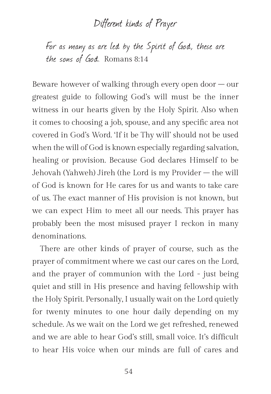### Different kinds of Prayer

For as many as are led by the Spirit of God, these are the sons of God. Romans 8:14

Beware however of walking through every open door  $-\text{our}$ greatest guide to following God's will must be the inner witness in our hearts given by the Holy Spirit. Also when it comes to choosing a job, spouse, and any specific area not covered in God's Word. 'If it be Thy will' should not be used when the will of God is known especially regarding salvation, healing or provision. Because God declares Himself to be Jehovah (Yahweh) Jireh (the Lord is my Provider – the will of God is known for He cares for us and wants to take care of us. The exact manner of His provision is not known, but we can expect Him to meet all our needs. This prayer has probably been the most misused prayer I reckon in many denominations.

There are other kinds of prayer of course, such as the prayer of commitment where we cast our cares on the Lord, and the prayer of communion with the Lord - just being quiet and still in His presence and having fellowship with the Holy Spirit. Personally, I usually wait on the Lord quietly for twenty minutes to one hour daily depending on my schedule. As we wait on the Lord we get refreshed, renewed and we are able to hear God's still, small voice. It's difficult to hear His voice when our minds are full of cares and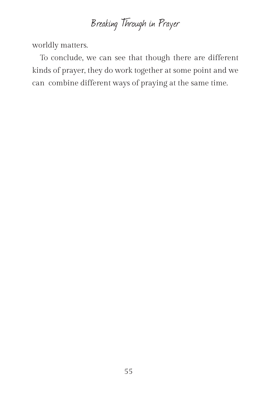Breaking Through in Prayer

worldly matters.

To conclude, we can see that though there are different kinds of prayer, they do work together at some point and we can combine different ways of praying at the same time.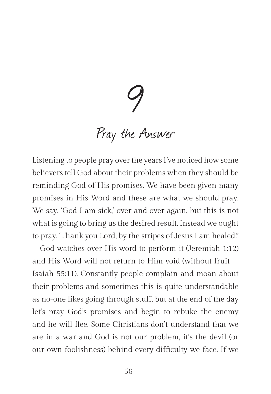9

# Pray the Answer

Listening to people pray over the years I've noticed how some believers tell God about their problems when they should be reminding God of His promises. We have been given many promises in His Word and these are what we should pray. We say, 'God I am sick,' over and over again, but this is not what is going to bring us the desired result. Instead we ought to pray, 'Thank you Lord, by the stripes of Jesus I am healed!'

God watches over His word to perform it (Jeremiah 1:12) and His Word will not return to Him void (without fruit – Isaiah 55:11). Constantly people complain and moan about their problems and sometimes this is quite understandable as no-one likes going through stuff, but at the end of the day let's pray God's promises and begin to rebuke the enemy and he will flee. Some Christians don't understand that we are in a war and God is not our problem, it's the devil (or our own foolishness) behind every difficulty we face. If we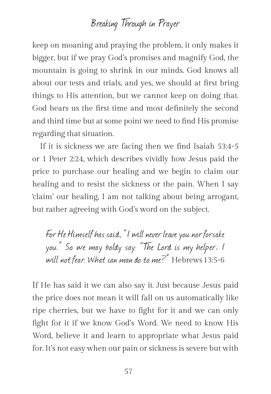keep on moaning and praying the problem, it only makes it bigger, but if we pray God's promises and magnify God, the mountain is going to shrink in our minds. God knows all about our tests and trials, and yes, we should at first bring things to His attention, but we cannot keep on doing that. God hears us the first time and most definitely the second and third time but at some point we need to find His promise regarding that situation.

If it is sickness we are facing then we find Isaiah 53:4-5 or 1 Peter 2:24, which describes vividly how Jesus paid the price to purchase our healing and we begin to claim our healing and to resist the sickness or the pain. When I say 'claim' our healing, I am not talking about being arrogant, but rather agreeing with God's word on the subject.

For He Himself has said, "I will never leave you nor forsake you." So we may boldy say: "The Lord is my helper; I will not fear. What can man do to me?" Hebrews 13:5-6

If He has said it we can also say it. Just because Jesus paid the price does not mean it will fall on us automatically like ripe cherries, but we have to fight for it and we can only fight for it if we know God's Word. We need to know His Word, believe it and learn to appropriate what Jesus paid for. It's not easy when our pain or sickness is severe but with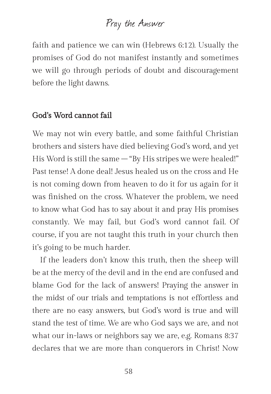### Pray the Answer

faith and patience we can win (Hebrews 6:12). Usually the promises of God do not manifest instantly and sometimes we will go through periods of doubt and discouragement before the light dawns.

#### God's Word cannot fail

We may not win every battle, and some faithful Christian brothers and sisters have died believing God's word, and yet His Word is still the same — "By His stripes we were healed!" Past tense! A done deal! Jesus healed us on the cross and He is not coming down from heaven to do it for us again for it was finished on the cross. Whatever the problem, we need to know what God has to say about it and pray His promises constantly. We may fail, but God's word cannot fail. Of course, if you are not taught this truth in your church then it's going to be much harder.

If the leaders don't know this truth, then the sheep will be at the mercy of the devil and in the end are confused and blame God for the lack of answers! Praying the answer in the midst of our trials and temptations is not effortless and there are no easy answers, but God's word is true and will stand the test of time. We are who God says we are, and not what our in-laws or neighbors say we are, e.g. Romans 8:37 declares that we are more than conquerors in Christ! Now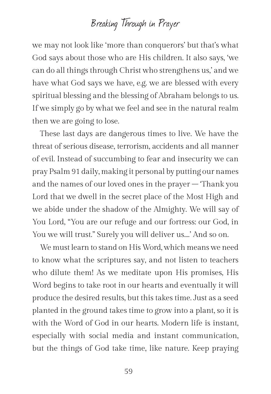we may not look like 'more than conquerors' but that's what God says about those who are His children. It also says, 'we can do all things through Christ who strengthens us,' and we have what God says we have, e.g. we are blessed with every spiritual blessing and the blessing of Abraham belongs to us. If we simply go by what we feel and see in the natural realm then we are going to lose.

These last days are dangerous times to live. We have the threat of serious disease, terrorism, accidents and all manner of evil. Instead of succumbing to fear and insecurity we can pray Psalm 91 daily, making it personal by putting our names and the names of our loved ones in the prayer – 'Thank you Lord that we dwell in the secret place of the Most High and we abide under the shadow of the Almighty. We will say of You Lord, "You are our refuge and our fortress: our God, in You we will trust." Surely you will deliver us….' And so on.

We must learn to stand on His Word, which means we need to know what the scriptures say, and not listen to teachers who dilute them! As we meditate upon His promises, His Word begins to take root in our hearts and eventually it will produce the desired results, but this takes time. Just as a seed planted in the ground takes time to grow into a plant, so it is with the Word of God in our hearts. Modern life is instant, especially with social media and instant communication, but the things of God take time, like nature. Keep praying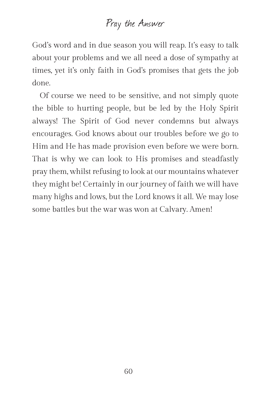### Pray the Answer

God's word and in due season you will reap. It's easy to talk about your problems and we all need a dose of sympathy at times, yet it's only faith in God's promises that gets the job done.

Of course we need to be sensitive, and not simply quote the bible to hurting people, but be led by the Holy Spirit always! The Spirit of God never condemns but always encourages. God knows about our troubles before we go to Him and He has made provision even before we were born. That is why we can look to His promises and steadfastly pray them, whilst refusing to look at our mountains whatever they might be! Certainly in our journey of faith we will have many highs and lows, but the Lord knows it all. We may lose some battles but the war was won at Calvary. Amen!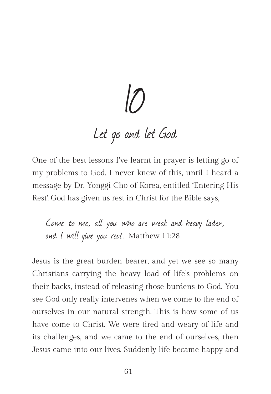# 10 Let go and let God

One of the best lessons I've learnt in prayer is letting go of my problems to God. I never knew of this, until I heard a message by Dr. Yonggi Cho of Korea, entitled 'Entering His Rest'. God has given us rest in Christ for the Bible says,

Come to me, all you who are weak and heavy laden, and I will give you rest. Matthew 11:28

Jesus is the great burden bearer, and yet we see so many Christians carrying the heavy load of life's problems on their backs, instead of releasing those burdens to God. You see God only really intervenes when we come to the end of ourselves in our natural strength. This is how some of us have come to Christ. We were tired and weary of life and its challenges, and we came to the end of ourselves, then Jesus came into our lives. Suddenly life became happy and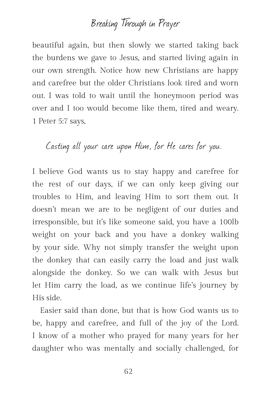beautiful again, but then slowly we started taking back the burdens we gave to Jesus, and started living again in our own strength. Notice how new Christians are happy and carefree but the older Christians look tired and worn out. I was told to wait until the honeymoon period was over and I too would become like them, tired and weary. 1 Peter 5:7 says,

Casting all your care upon Him, for He cares for you.

I believe God wants us to stay happy and carefree for the rest of our days, if we can only keep giving our troubles to Him, and leaving Him to sort them out. It doesn't mean we are to be negligent of our duties and irresponsible, but it's like someone said, you have a 100lb weight on your back and you have a donkey walking by your side. Why not simply transfer the weight upon the donkey that can easily carry the load and just walk alongside the donkey. So we can walk with Jesus but let Him carry the load, as we continue life's journey by His side.

Easier said than done, but that is how God wants us to be, happy and carefree, and full of the joy of the Lord. I know of a mother who prayed for many years for her daughter who was mentally and socially challenged, for

62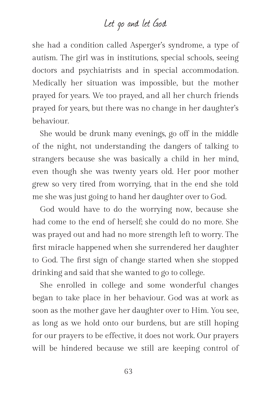### Let go and let God

she had a condition called Asperger's syndrome, a type of autism. The girl was in institutions, special schools, seeing doctors and psychiatrists and in special accommodation. Medically her situation was impossible, but the mother prayed for years. We too prayed, and all her church friends prayed for years, but there was no change in her daughter's behaviour.

She would be drunk many evenings, go off in the middle of the night, not understanding the dangers of talking to strangers because she was basically a child in her mind, even though she was twenty years old. Her poor mother grew so very tired from worrying, that in the end she told me she was just going to hand her daughter over to God.

God would have to do the worrying now, because she had come to the end of herself; she could do no more. She was prayed out and had no more strength left to worry. The first miracle happened when she surrendered her daughter to God. The first sign of change started when she stopped drinking and said that she wanted to go to college.

She enrolled in college and some wonderful changes began to take place in her behaviour. God was at work as soon as the mother gave her daughter over to Him. You see, as long as we hold onto our burdens, but are still hoping for our prayers to be effective, it does not work. Our prayers will be hindered because we still are keeping control of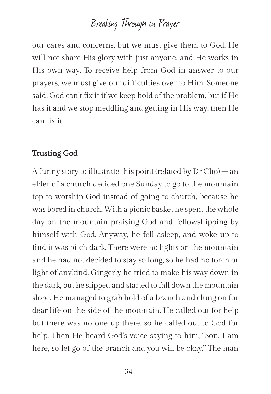our cares and concerns, but we must give them to God. He will not share His glory with just anyone, and He works in His own way. To receive help from God in answer to our prayers, we must give our difficulties over to Him. Someone said, God can't fix it if we keep hold of the problem, but if He has it and we stop meddling and getting in His way, then He can fix it.

### Trusting God

A funny story to illustrate this point (related by  $Dr Ch<sub>o</sub>$ ) — an elder of a church decided one Sunday to go to the mountain top to worship God instead of going to church, because he was bored in church. With a picnic basket he spent the whole day on the mountain praising God and fellowshipping by himself with God. Anyway, he fell asleep, and woke up to find it was pitch dark. There were no lights on the mountain and he had not decided to stay so long, so he had no torch or light of anykind. Gingerly he tried to make his way down in the dark, but he slipped and started to fall down the mountain slope. He managed to grab hold of a branch and clung on for dear life on the side of the mountain. He called out for help but there was no-one up there, so he called out to God for help. Then He heard God's voice saying to him, "Son, I am here, so let go of the branch and you will be okay." The man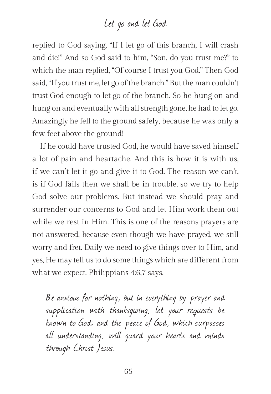### Let go and let God

replied to God saying, "If I let go of this branch, I will crash and die!" And so God said to him, "Son, do you trust me?" to which the man replied, "Of course I trust you God." Then God said, "If you trust me, let go of the branch." But the man couldn't trust God enough to let go of the branch. So he hung on and hung on and eventually with all strength gone, he had to let go. Amazingly he fell to the ground safely, because he was only a few feet above the ground!

If he could have trusted God, he would have saved himself a lot of pain and heartache. And this is how it is with us, if we can't let it go and give it to God. The reason we can't, is if God fails then we shall be in trouble, so we try to help God solve our problems. But instead we should pray and surrender our concerns to God and let Him work them out while we rest in Him. This is one of the reasons prayers are not answered, because even though we have prayed, we still worry and fret. Daily we need to give things over to Him, and yes, He may tell us to do some things which are different from what we expect. Philippians 4:6,7 says,

Be anxious for nothing, but in everything by prayer and supplication with thanksgiving, let your requests be known to God; and the peace of God, which surpasses all understanding, will guard your hearts and minds through Christ Jesus.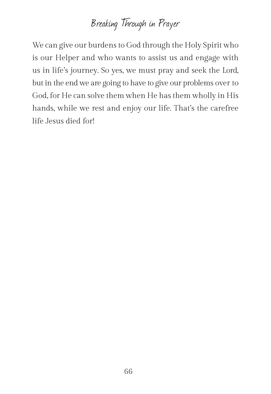We can give our burdens to God through the Holy Spirit who is our Helper and who wants to assist us and engage with us in life's journey. So yes, we must pray and seek the Lord, but in the end we are going to have to give our problems over to God, for He can solve them when He has them wholly in His hands, while we rest and enjoy our life. That's the carefree life Jesus died for!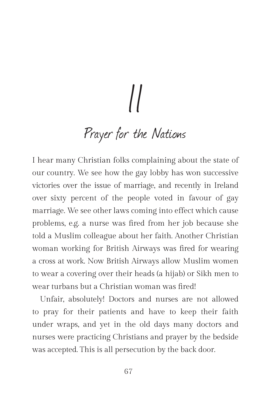# 11 Prayer for the Nations

I hear many Christian folks complaining about the state of our country. We see how the gay lobby has won successive victories over the issue of marriage, and recently in Ireland over sixty percent of the people voted in favour of gay marriage. We see other laws coming into effect which cause problems, e.g. a nurse was fired from her job because she told a Muslim colleague about her faith. Another Christian woman working for British Airways was fired for wearing a cross at work. Now British Airways allow Muslim women to wear a covering over their heads (a hijab) or Sikh men to wear turbans but a Christian woman was fired!

Unfair, absolutely! Doctors and nurses are not allowed to pray for their patients and have to keep their faith under wraps, and yet in the old days many doctors and nurses were practicing Christians and prayer by the bedside was accepted. This is all persecution by the back door.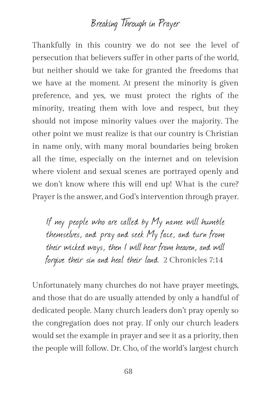Thankfully in this country we do not see the level of persecution that believers suffer in other parts of the world, but neither should we take for granted the freedoms that we have at the moment. At present the minority is given preference, and yes, we must protect the rights of the minority, treating them with love and respect, but they should not impose minority values over the majority. The other point we must realize is that our country is Christian in name only, with many moral boundaries being broken all the time, especially on the internet and on television where violent and sexual scenes are portrayed openly and we don't know where this will end up! What is the cure? Prayer is the answer, and God's intervention through prayer.

If my people who are called by My name will humble themselves, and pray and seek My face, and turn from their wicked ways, then I will hear from heaven, and will forgive their sin and heal their land. 2 Chronicles 7:14

Unfortunately many churches do not have prayer meetings, and those that do are usually attended by only a handful of dedicated people. Many church leaders don't pray openly so the congregation does not pray. If only our church leaders would set the example in prayer and see it as a priority, then the people will follow. Dr. Cho, of the world's largest church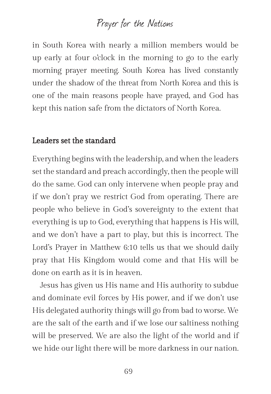### Prayer for the Nations

in South Korea with nearly a million members would be up early at four o'clock in the morning to go to the early morning prayer meeting. South Korea has lived constantly under the shadow of the threat from North Korea and this is one of the main reasons people have prayed, and God has kept this nation safe from the dictators of North Korea.

### Leaders set the standard

Everything begins with the leadership, and when the leaders set the standard and preach accordingly, then the people will do the same. God can only intervene when people pray and if we don't pray we restrict God from operating. There are people who believe in God's sovereignty to the extent that everything is up to God, everything that happens is His will, and we don't have a part to play, but this is incorrect. The Lord's Prayer in Matthew 6:10 tells us that we should daily pray that His Kingdom would come and that His will be done on earth as it is in heaven.

Jesus has given us His name and His authority to subdue and dominate evil forces by His power, and if we don't use His delegated authority things will go from bad to worse. We are the salt of the earth and if we lose our saltiness nothing will be preserved. We are also the light of the world and if we hide our light there will be more darkness in our nation.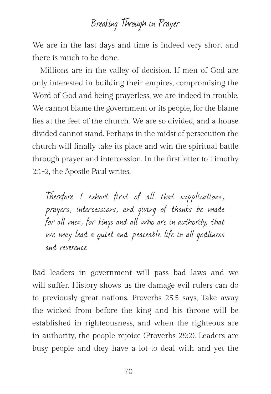We are in the last days and time is indeed very short and there is much to be done.

Millions are in the valley of decision. If men of God are only interested in building their empires, compromising the Word of God and being prayerless, we are indeed in trouble. We cannot blame the government or its people, for the blame lies at the feet of the church. We are so divided, and a house divided cannot stand. Perhaps in the midst of persecution the church will finally take its place and win the spiritual battle through prayer and intercession. In the first letter to Timothy 2:1-2, the Apostle Paul writes,

Therefore I exhort first of all that supplications, prayers, intercessions, and giving of thanks be made for all men, for kings and all who are in authority, that we may lead a quiet and peaceable life in all godliness and reverence.

Bad leaders in government will pass bad laws and we will suffer. History shows us the damage evil rulers can do to previously great nations. Proverbs 25:5 says, Take away the wicked from before the king and his throne will be established in righteousness, and when the righteous are in authority, the people rejoice (Proverbs 29:2). Leaders are busy people and they have a lot to deal with and yet the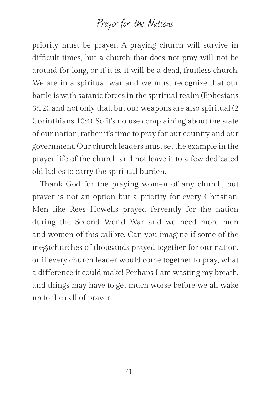### Prayer for the Nations

priority must be prayer. A praying church will survive in difficult times, but a church that does not pray will not be around for long, or if it is, it will be a dead, fruitless church. We are in a spiritual war and we must recognize that our battle is with satanic forces in the spiritual realm (Ephesians 6:12), and not only that, but our weapons are also spiritual (2 Corinthians 10:4). So it's no use complaining about the state of our nation, rather it's time to pray for our country and our government. Our church leaders must set the example in the prayer life of the church and not leave it to a few dedicated old ladies to carry the spiritual burden.

Thank God for the praying women of any church, but prayer is not an option but a priority for every Christian. Men like Rees Howells prayed fervently for the nation during the Second World War and we need more men and women of this calibre. Can you imagine if some of the megachurches of thousands prayed together for our nation, or if every church leader would come together to pray, what a difference it could make! Perhaps I am wasting my breath, and things may have to get much worse before we all wake up to the call of prayer!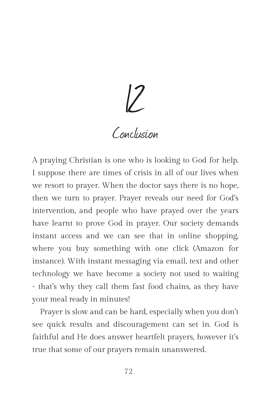12

# Conclusion

A praying Christian is one who is looking to God for help. I suppose there are times of crisis in all of our lives when we resort to prayer. When the doctor says there is no hope, then we turn to prayer. Prayer reveals our need for God's intervention, and people who have prayed over the years have learnt to prove God in prayer. Our society demands instant access and we can see that in online shopping, where you buy something with one click (Amazon for instance). With instant messaging via email, text and other technology we have become a society not used to waiting - that's why they call them fast food chains, as they have your meal ready in minutes!

Prayer is slow and can be hard, especially when you don't see quick results and discouragement can set in. God is faithful and He does answer heartfelt prayers, however it's true that some of our prayers remain unanswered.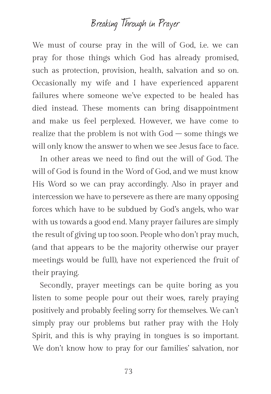# Breaking Through in Prayer

We must of course pray in the will of God, i.e. we can pray for those things which God has already promised, such as protection, provision, health, salvation and so on. Occasionally my wife and I have experienced apparent failures where someone we've expected to be healed has died instead. These moments can bring disappointment and make us feel perplexed. However, we have come to realize that the problem is not with God – some things we will only know the answer to when we see Jesus face to face.

In other areas we need to find out the will of God. The will of God is found in the Word of God, and we must know His Word so we can pray accordingly. Also in prayer and intercession we have to persevere as there are many opposing forces which have to be subdued by God's angels, who war with us towards a good end. Many prayer failures are simply the result of giving up too soon. People who don't pray much, (and that appears to be the majority otherwise our prayer meetings would be full), have not experienced the fruit of their praying.

Secondly, prayer meetings can be quite boring as you listen to some people pour out their woes, rarely praying positively and probably feeling sorry for themselves. We can't simply pray our problems but rather pray with the Holy Spirit, and this is why praying in tongues is so important. We don't know how to pray for our families' salvation, nor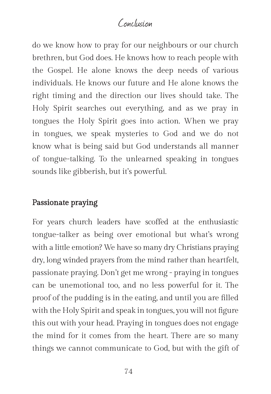## Conclusion

do we know how to pray for our neighbours or our church brethren, but God does. He knows how to reach people with the Gospel. He alone knows the deep needs of various individuals. He knows our future and He alone knows the right timing and the direction our lives should take. The Holy Spirit searches out everything, and as we pray in tongues the Holy Spirit goes into action. When we pray in tongues, we speak mysteries to God and we do not know what is being said but God understands all manner of tongue-talking. To the unlearned speaking in tongues sounds like gibberish, but it's powerful.

#### Passionate praying

For years church leaders have scoffed at the enthusiastic tongue-talker as being over emotional but what's wrong with a little emotion? We have so many dry Christians praying dry, long winded prayers from the mind rather than heartfelt, passionate praying. Don't get me wrong - praying in tongues can be unemotional too, and no less powerful for it. The proof of the pudding is in the eating, and until you are filled with the Holy Spirit and speak in tongues, you will not figure this out with your head. Praying in tongues does not engage the mind for it comes from the heart. There are so many things we cannot communicate to God, but with the gift of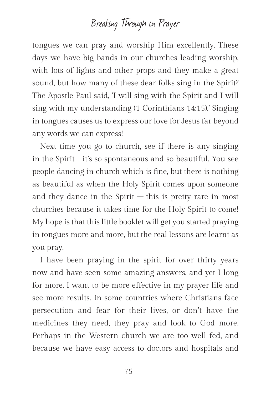# Breaking Through in Prayer

tongues we can pray and worship Him excellently. These days we have big bands in our churches leading worship, with lots of lights and other props and they make a great sound, but how many of these dear folks sing in the Spirit? The Apostle Paul said, 'I will sing with the Spirit and I will sing with my understanding (1 Corinthians 14:15).' Singing in tongues causes us to express our love for Jesus far beyond any words we can express!

Next time you go to church, see if there is any singing in the Spirit - it's so spontaneous and so beautiful. You see people dancing in church which is fine, but there is nothing as beautiful as when the Holy Spirit comes upon someone and they dance in the Spirit  $-$  this is pretty rare in most churches because it takes time for the Holy Spirit to come! My hope is that this little booklet will get you started praying in tongues more and more, but the real lessons are learnt as you pray.

I have been praying in the spirit for over thirty years now and have seen some amazing answers, and yet I long for more. I want to be more effective in my prayer life and see more results. In some countries where Christians face persecution and fear for their lives, or don't have the medicines they need, they pray and look to God more. Perhaps in the Western church we are too well fed, and because we have easy access to doctors and hospitals and